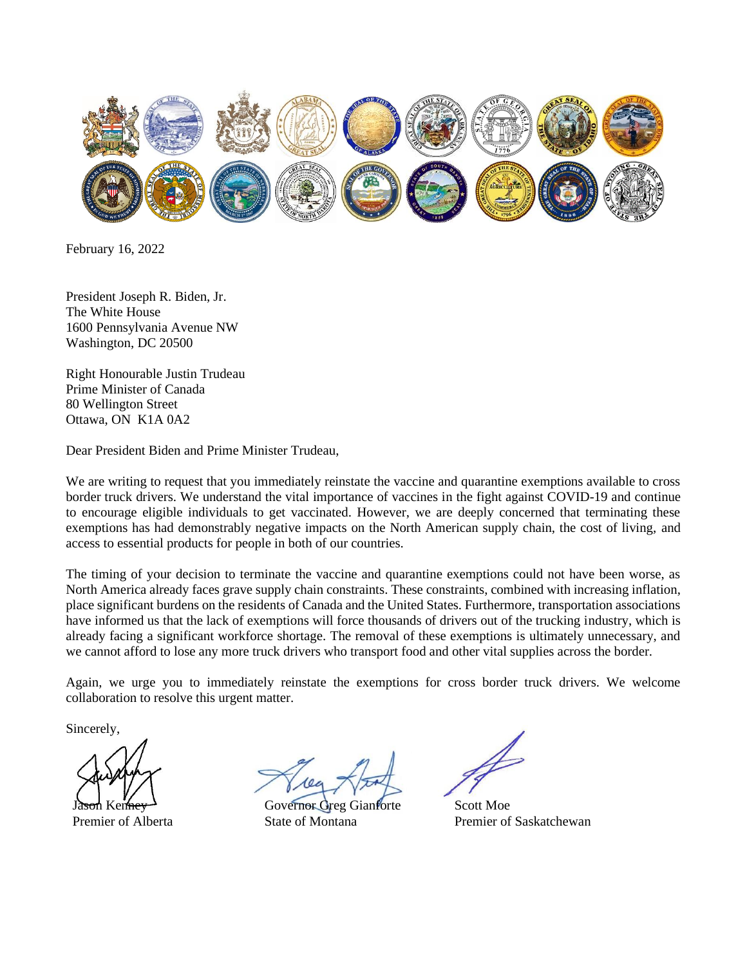

February 16, 2022

President Joseph R. Biden, Jr. The White House 1600 Pennsylvania Avenue NW Washington, DC 20500

Right Honourable Justin Trudeau Prime Minister of Canada 80 Wellington Street Ottawa, ON K1A 0A2

Dear President Biden and Prime Minister Trudeau,

We are writing to request that you immediately reinstate the vaccine and quarantine exemptions available to cross border truck drivers. We understand the vital importance of vaccines in the fight against COVID-19 and continue to encourage eligible individuals to get vaccinated. However, we are deeply concerned that terminating these exemptions has had demonstrably negative impacts on the North American supply chain, the cost of living, and access to essential products for people in both of our countries.

The timing of your decision to terminate the vaccine and quarantine exemptions could not have been worse, as North America already faces grave supply chain constraints. These constraints, combined with increasing inflation, place significant burdens on the residents of Canada and the United States. Furthermore, transportation associations have informed us that the lack of exemptions will force thousands of drivers out of the trucking industry, which is already facing a significant workforce shortage. The removal of these exemptions is ultimately unnecessary, and we cannot afford to lose any more truck drivers who transport food and other vital supplies across the border.

Again, we urge you to immediately reinstate the exemptions for cross border truck drivers. We welcome collaboration to resolve this urgent matter.

Sincerely,

Jason Kenney Premier of Alberta

Governor Greg Gianforte State of Montana

Scott Moe Premier of Saskatchewan